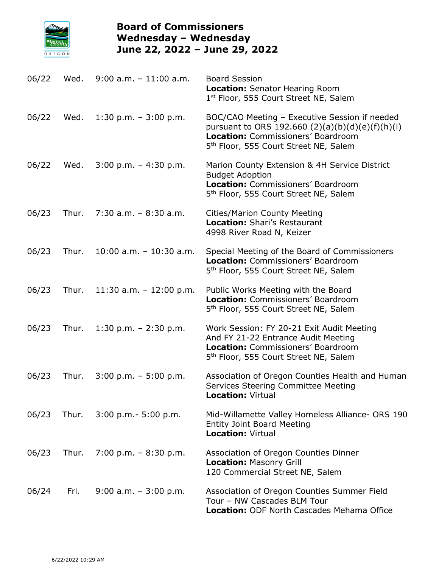

## **Board of Commissioners Wednesday – Wednesday June 22, 2022 – June 29, 2022**

| 06/22 | Wed.  | $9:00$ a.m. $-11:00$ a.m.  | <b>Board Session</b><br>Location: Senator Hearing Room<br>1st Floor, 555 Court Street NE, Salem                                                                                                |
|-------|-------|----------------------------|------------------------------------------------------------------------------------------------------------------------------------------------------------------------------------------------|
| 06/22 | Wed.  | 1:30 p.m. $-3:00$ p.m.     | BOC/CAO Meeting - Executive Session if needed<br>pursuant to ORS 192.660 $(2)(a)(b)(d)(e)(f)(h)(i)$<br>Location: Commissioners' Boardroom<br>5 <sup>th</sup> Floor, 555 Court Street NE, Salem |
| 06/22 | Wed.  | $3:00$ p.m. $-4:30$ p.m.   | Marion County Extension & 4H Service District<br><b>Budget Adoption</b><br>Location: Commissioners' Boardroom<br>5 <sup>th</sup> Floor, 555 Court Street NE, Salem                             |
| 06/23 | Thur. | $7:30$ a.m. $-8:30$ a.m.   | <b>Cities/Marion County Meeting</b><br>Location: Shari's Restaurant<br>4998 River Road N, Keizer                                                                                               |
| 06/23 | Thur. | $10:00$ a.m. $-10:30$ a.m. | Special Meeting of the Board of Commissioners<br>Location: Commissioners' Boardroom<br>5 <sup>th</sup> Floor, 555 Court Street NE, Salem                                                       |
| 06/23 | Thur. | 11:30 a.m. $-$ 12:00 p.m.  | Public Works Meeting with the Board<br>Location: Commissioners' Boardroom<br>5 <sup>th</sup> Floor, 555 Court Street NE, Salem                                                                 |
| 06/23 | Thur. | 1:30 p.m. $- 2:30$ p.m.    | Work Session: FY 20-21 Exit Audit Meeting<br>And FY 21-22 Entrance Audit Meeting<br>Location: Commissioners' Boardroom<br>5 <sup>th</sup> Floor, 555 Court Street NE, Salem                    |
| 06/23 | Thur. | $3:00$ p.m. $-5:00$ p.m.   | Association of Oregon Counties Health and Human<br>Services Steering Committee Meeting<br><b>Location: Virtual</b>                                                                             |
| 06/23 | Thur. | $3:00$ p.m. $-5:00$ p.m.   | Mid-Willamette Valley Homeless Alliance- ORS 190<br><b>Entity Joint Board Meeting</b><br><b>Location: Virtual</b>                                                                              |
| 06/23 | Thur. | 7:00 p.m. $-8:30$ p.m.     | Association of Oregon Counties Dinner<br><b>Location: Masonry Grill</b><br>120 Commercial Street NE, Salem                                                                                     |
| 06/24 | Fri.  | $9:00$ a.m. $-3:00$ p.m.   | Association of Oregon Counties Summer Field<br>Tour - NW Cascades BLM Tour<br>Location: ODF North Cascades Mehama Office                                                                       |